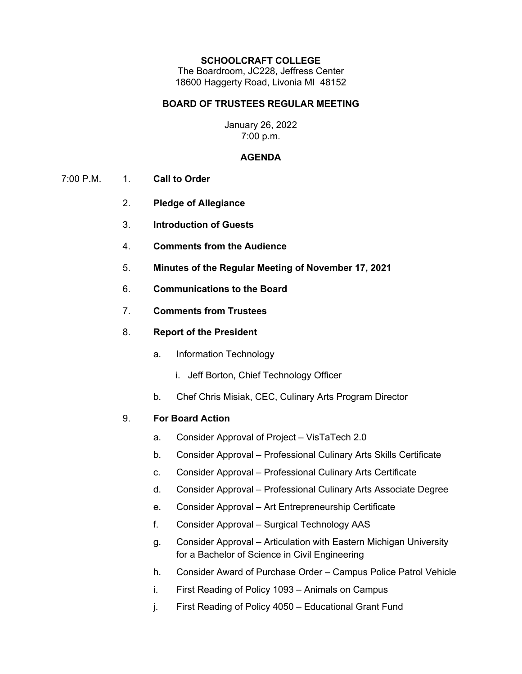#### **SCHOOLCRAFT COLLEGE**

The Boardroom, JC228, Jeffress Center 18600 Haggerty Road, Livonia MI 48152

## **BOARD OF TRUSTEES REGULAR MEETING**

### January 26, 2022 7:00 p.m.

#### **AGENDA**

- 7:00 P.M. 1. **Call to Order**
	- 2. **Pledge of Allegiance**
	- 3. **Introduction of Guests**
	- 4. **Comments from the Audience**
	- 5. **Minutes of the Regular Meeting of November 17, 2021**
	- 6. **Communications to the Board**
	- 7. **Comments from Trustees**
	- 8. **Report of the President**
		- a. Information Technology
			- i. Jeff Borton, Chief Technology Officer
		- b. Chef Chris Misiak, CEC, Culinary Arts Program Director

## 9. **For Board Action**

- a. Consider Approval of Project VisTaTech 2.0
- b. Consider Approval Professional Culinary Arts Skills Certificate
- c. Consider Approval Professional Culinary Arts Certificate
- d. Consider Approval Professional Culinary Arts Associate Degree
- e. Consider Approval Art Entrepreneurship Certificate
- f. Consider Approval Surgical Technology AAS
- g. Consider Approval Articulation with Eastern Michigan University for a Bachelor of Science in Civil Engineering
- h. Consider Award of Purchase Order Campus Police Patrol Vehicle
- i. First Reading of Policy 1093 Animals on Campus
- j. First Reading of Policy 4050 Educational Grant Fund